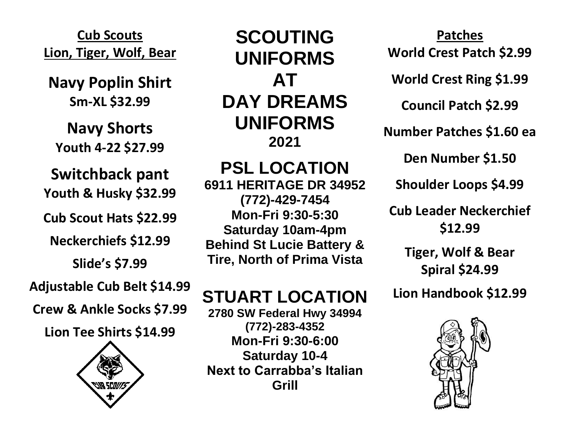**Cub Scouts Lion, Tiger, Wolf, Bear**

**Navy Poplin Shirt Sm-XL \$32.99**

**Navy Shorts Youth 4-22 \$27.99**

**Switchback pant**

**Youth & Husky \$32.99**

**Cub Scout Hats \$22.99**

**Neckerchiefs \$12.99**

**Slide's \$7.99**

**Adjustable Cub Belt \$14.99**

**Crew & Ankle Socks \$7.99**

**Lion Tee Shirts \$14.99**



**SCOUTING UNIFORMS AT DAY DREAMS UNIFORMS 2021**

**PSL LOCATION 6911 HERITAGE DR 34952 (772)-429-7454 Mon-Fri 9:30-5:30 Saturday 10am-4pm Behind St Lucie Battery & Tire, North of Prima Vista**

## **STUART LOCATION**

**2780 SW Federal Hwy 34994 (772)-283-4352 Mon-Fri 9:30-6:00 Saturday 10-4 Next to Carrabba's Italian Grill**

**Patches World Crest Patch \$2.99**

**World Crest Ring \$1.99**

**Council Patch \$2.99**

**Number Patches \$1.60 ea**

**Den Number \$1.50**

**Shoulder Loops \$4.99**

**Cub Leader Neckerchief \$12.99**

> **Tiger, Wolf & Bear Spiral \$24.99**

**Lion Handbook \$12.99**